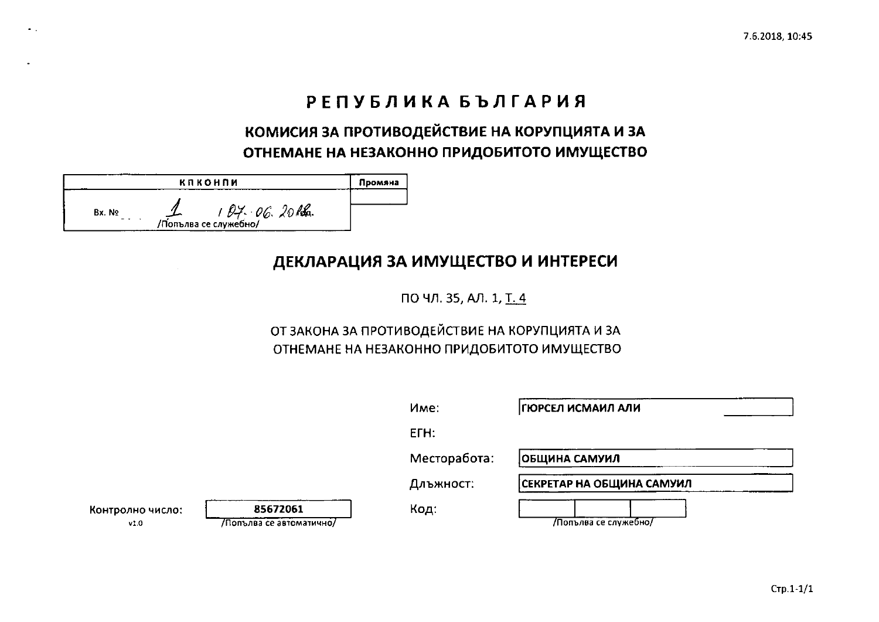# РЕПУБЛИКА БЪЛГАРИЯ

## КОМИСИЯ ЗА ПРОТИВОДЕЙСТВИЕ НА КОРУПЦИЯТА И ЗА ОТНЕМАНЕ НА НЕЗАКОННО ПРИДОБИТОТО ИМУЩЕСТВО

|       | <b>КПКОНПИ</b>                           | Промяна |
|-------|------------------------------------------|---------|
| Bx No | $194.06.20$ Ref.<br>Thomps ce cnymetring |         |

 $\bullet$  .  $\bullet$ 

### ДЕКЛАРАЦИЯ ЗА ИМУЩЕСТВО И ИНТЕРЕСИ

ПО ЧЛ. 35, АЛ. 1, Т. 4

### ОТ ЗАКОНА ЗА ПРОТИВОДЕЙСТВИЕ НА КОРУПЦИЯТА И ЗА ОТНЕМАНЕ НА НЕЗАКОННО ПРИДОБИТОТО ИМУЩЕСТВО

|                          |                                      | Име:         | ГЮРСЕЛ ИСМАИЛ АЛИ         |  |
|--------------------------|--------------------------------------|--------------|---------------------------|--|
|                          |                                      | ETH:         |                           |  |
|                          |                                      | Месторабота: | ОБЩИНА САМУИЛ             |  |
|                          |                                      | Длъжност:    | СЕКРЕТАР НА ОБЩИНА САМУИЛ |  |
| Контролно число:<br>V1.0 | 85672061<br>/Попълва се автоматично/ | Код:         | 7Попълва се служебно/     |  |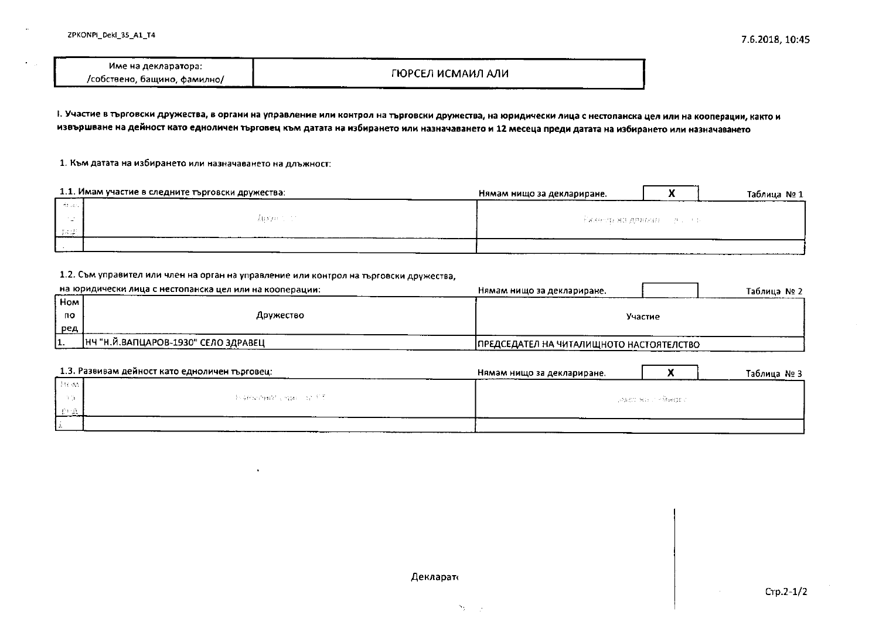| Име на декларатора:          |                    |  |
|------------------------------|--------------------|--|
| /собствено, бащино, фамилно/ | ГЮРСЕЛ ИСМАИЛ АЛИ- |  |

1. Участие в търговски дружества, в органи на управление или контрол на търговски дружества, на юридически лица с нестопанска цел или на кооперации, както и извършване на дейност като едноличен търговец към датата на избирането или назначаването и 12 месеца преди датата на избирането или назначаването

1. Към датата на избирането или назначаването на длъжност:

|        | 1.1. Имам участие в следните търговски дружества: | Нямам нищо за деклариране. |                                 | Таблица №1 |
|--------|---------------------------------------------------|----------------------------|---------------------------------|------------|
| ೆಂದು   |                                                   |                            |                                 |            |
|        | - Albiza (1970)                                   |                            | ов'яземер на деньша со росского |            |
| 드 다 코드 |                                                   |                            |                                 |            |
|        |                                                   |                            |                                 |            |

#### 1.2. Съм управител или член на орган на управление или контрол на търговски дружества,

|     | на юридически лица с нестопанска цел или на кооперации: | Нямам нищо за деклариране.               | Таблица № 2 |
|-----|---------------------------------------------------------|------------------------------------------|-------------|
| Hom |                                                         |                                          |             |
| по  | Дружество                                               | Участие                                  |             |
| ред |                                                         |                                          |             |
| .   | НЧ "Н.Й.ВАПЦАРОВ-1930" СЕЛО ЗДРАВЕЦ                     | ПРЕДСЕДАТЕЛ НА ЧИТАЛИЩНОТО НАСТОЯТЕЛСТВО |             |

|          | 1.3. Развивам дейност като едноличен търговец: | Нямам нищо за деклариране. |                      | Таблица № 3 |
|----------|------------------------------------------------|----------------------------|----------------------|-------------|
| 1 Breast |                                                |                            |                      |             |
|          | - Romers and Copper of the                     |                            | ਾਲ ਬਾਰ ਦਾ ਮਾਰਜ ਦੇ ਸਾ |             |
|          |                                                |                            |                      |             |
|          |                                                |                            |                      |             |

Декларат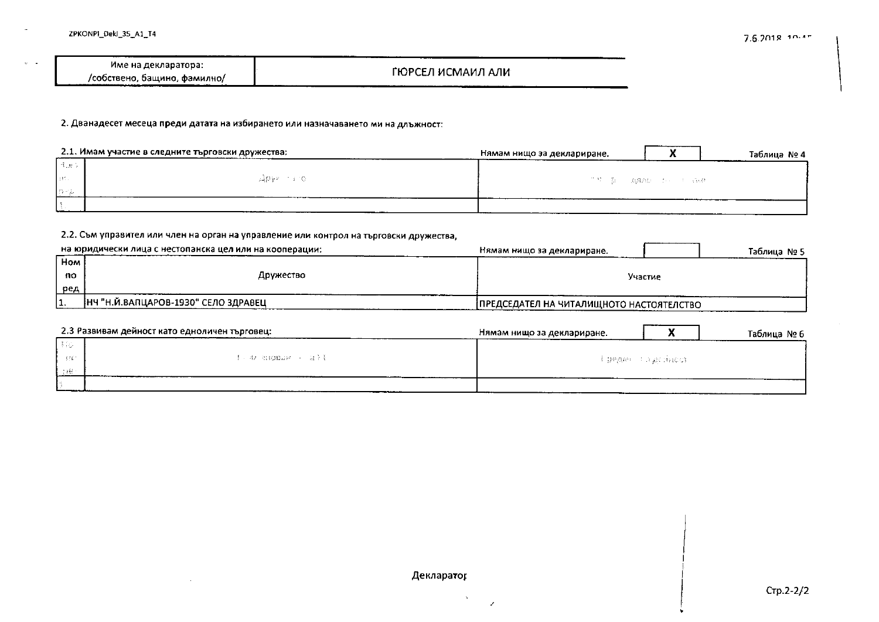$\sqrt{2}$  and  $\sqrt{2}$ 

|                              | --------          |
|------------------------------|-------------------|
| Име на декларатора:          |                   |
| /собствено, бащино, фамилно/ | ГЮРСЕЛ ИСМАИЛ АЛИ |

2. Дванадесет месеца преди датата на избирането или назначаването ми на длъжност:

|        | 2.1. Имам участие в следните търговски дружества: | Нямам нищо за деклариране.<br>Таблица № 4 |
|--------|---------------------------------------------------|-------------------------------------------|
| 「古説」   |                                                   |                                           |
| list L | LEADY RESEARCH                                    | - 『草川真川川麻酔』 1997年 - 第66                   |
| すおり込   |                                                   |                                           |
|        |                                                   |                                           |

#### 2.2. Съм управител или член на орган на управление или контрол на търговски дружества,

|            | на юридически лица с нестопанска цел или на кооперации: | Нямам нищо за деклариране.<br>Таблица № 5 |
|------------|---------------------------------------------------------|-------------------------------------------|
| <b>Hom</b> |                                                         |                                           |
| <b>no</b>  | Дружество                                               | Участие                                   |
| ред        |                                                         |                                           |
|            | НЧ "Н.Й.ВАПЦАРОВ-1930" СЕЛО ЗДРАВЕЦ                     | ПРЕДСЕДАТЕЛ НА ЧИТАЛИЩНОТО НАСТОЯТЕЛСТВО  |

|            | 2.3 Развивам дейност като едноличен търговец: | Нямам нищо за деклариране. |                      | Таблица № 6 |
|------------|-----------------------------------------------|----------------------------|----------------------|-------------|
| 136        |                                               |                            |                      |             |
| $\sim 320$ | f ar shopak a afi                             |                            | . Epealer Caustincon |             |
| -1981      |                                               |                            |                      |             |
|            |                                               |                            |                      |             |

#### Декларатор

 $\lambda$ 

 $\mathcal{L}$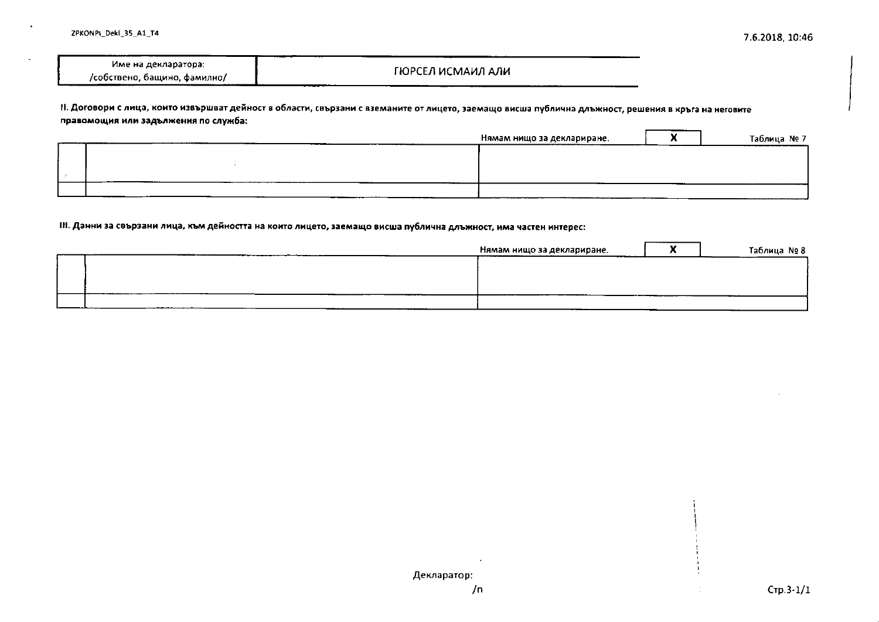| --------                             |                   |
|--------------------------------------|-------------------|
| Име на декларатора:                  |                   |
|                                      | ГЮРСЕЛ ИСМАИЛ АЛИ |
| /собствено, бащино, фамилно/         |                   |
| _____<br>_________<br>___<br>_______ | ___________       |

II. Договори с лица, които извършват дейност в области, свързани с вземаните от лицето, заемащо висша публична длъжност, решения в кръга на неговите правомощия или задължения по служба:

| Нямам нищо за деклариране.<br>_______ | Таблица № 7 |
|---------------------------------------|-------------|
|                                       |             |
|                                       |             |
|                                       |             |
| $\sim$ $\sim$ $\sim$                  |             |

#### III. Данни за свързани лица, към дейността на които лицето, заемащо висша публична длъжност, има частен интерес:

| Нямам нищо за деклариране. | ----- | Таблица №8 |
|----------------------------|-------|------------|
|                            |       |            |
|                            |       |            |
|                            |       |            |
| -------                    |       |            |